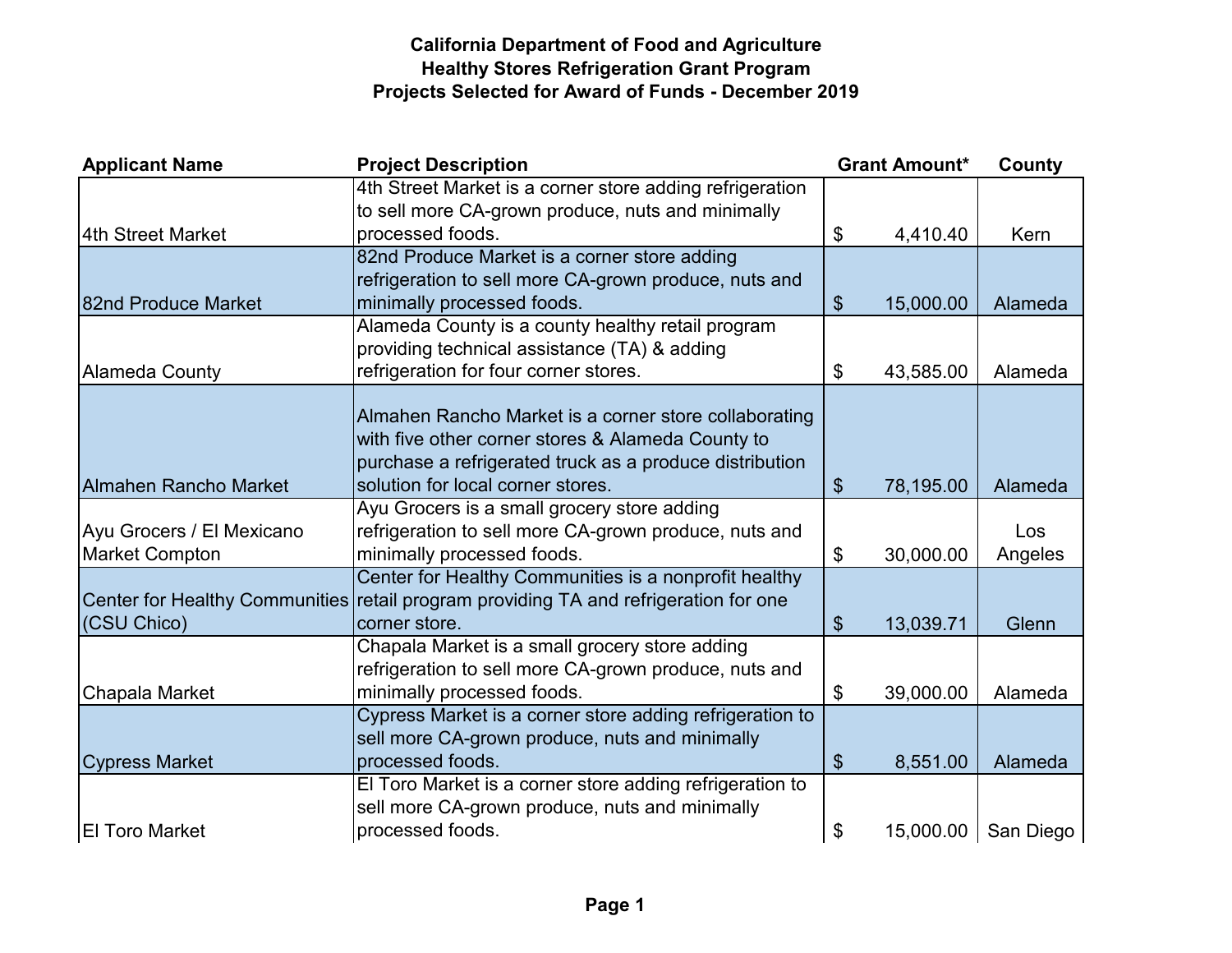# **California Department of Food and Agriculture Healthy Stores Refrigeration Grant Program Projects Selected for Award of Funds - December 2019**

| <b>Applicant Name</b>                 | <b>Project Description</b>                               |                       | <b>Grant Amount*</b> | County    |
|---------------------------------------|----------------------------------------------------------|-----------------------|----------------------|-----------|
|                                       | 4th Street Market is a corner store adding refrigeration |                       |                      |           |
|                                       | to sell more CA-grown produce, nuts and minimally        |                       |                      |           |
| 4th Street Market                     | processed foods.                                         | \$                    | 4,410.40             | Kern      |
|                                       | 82nd Produce Market is a corner store adding             |                       |                      |           |
|                                       | refrigeration to sell more CA-grown produce, nuts and    |                       |                      |           |
| 82nd Produce Market                   | minimally processed foods.                               | \$                    | 15,000.00            | Alameda   |
|                                       | Alameda County is a county healthy retail program        |                       |                      |           |
|                                       | providing technical assistance (TA) & adding             |                       |                      |           |
| Alameda County                        | refrigeration for four corner stores.                    | \$                    | 43,585.00            | Alameda   |
|                                       |                                                          |                       |                      |           |
|                                       | Almahen Rancho Market is a corner store collaborating    |                       |                      |           |
|                                       | with five other corner stores & Alameda County to        |                       |                      |           |
|                                       | purchase a refrigerated truck as a produce distribution  |                       |                      |           |
| <b>Almahen Rancho Market</b>          | solution for local corner stores.                        | $\boldsymbol{\theta}$ | 78,195.00            | Alameda   |
|                                       | Ayu Grocers is a small grocery store adding              |                       |                      |           |
| Ayu Grocers / El Mexicano             | refrigeration to sell more CA-grown produce, nuts and    |                       |                      | Los       |
| <b>Market Compton</b>                 | minimally processed foods.                               | \$                    | 30,000.00            | Angeles   |
|                                       | Center for Healthy Communities is a nonprofit healthy    |                       |                      |           |
| <b>Center for Healthy Communities</b> | retail program providing TA and refrigeration for one    |                       |                      |           |
| (CSU Chico)                           | corner store.                                            | \$                    | 13,039.71            | Glenn     |
|                                       | Chapala Market is a small grocery store adding           |                       |                      |           |
|                                       | refrigeration to sell more CA-grown produce, nuts and    |                       |                      |           |
| Chapala Market                        | minimally processed foods.                               | $\$\$                 | 39,000.00            | Alameda   |
|                                       | Cypress Market is a corner store adding refrigeration to |                       |                      |           |
|                                       | sell more CA-grown produce, nuts and minimally           |                       |                      |           |
| <b>Cypress Market</b>                 | processed foods.                                         | \$                    | 8,551.00             | Alameda   |
|                                       | El Toro Market is a corner store adding refrigeration to |                       |                      |           |
|                                       | sell more CA-grown produce, nuts and minimally           |                       |                      |           |
| <b>El Toro Market</b>                 | processed foods.                                         | \$                    | 15,000.00            | San Diego |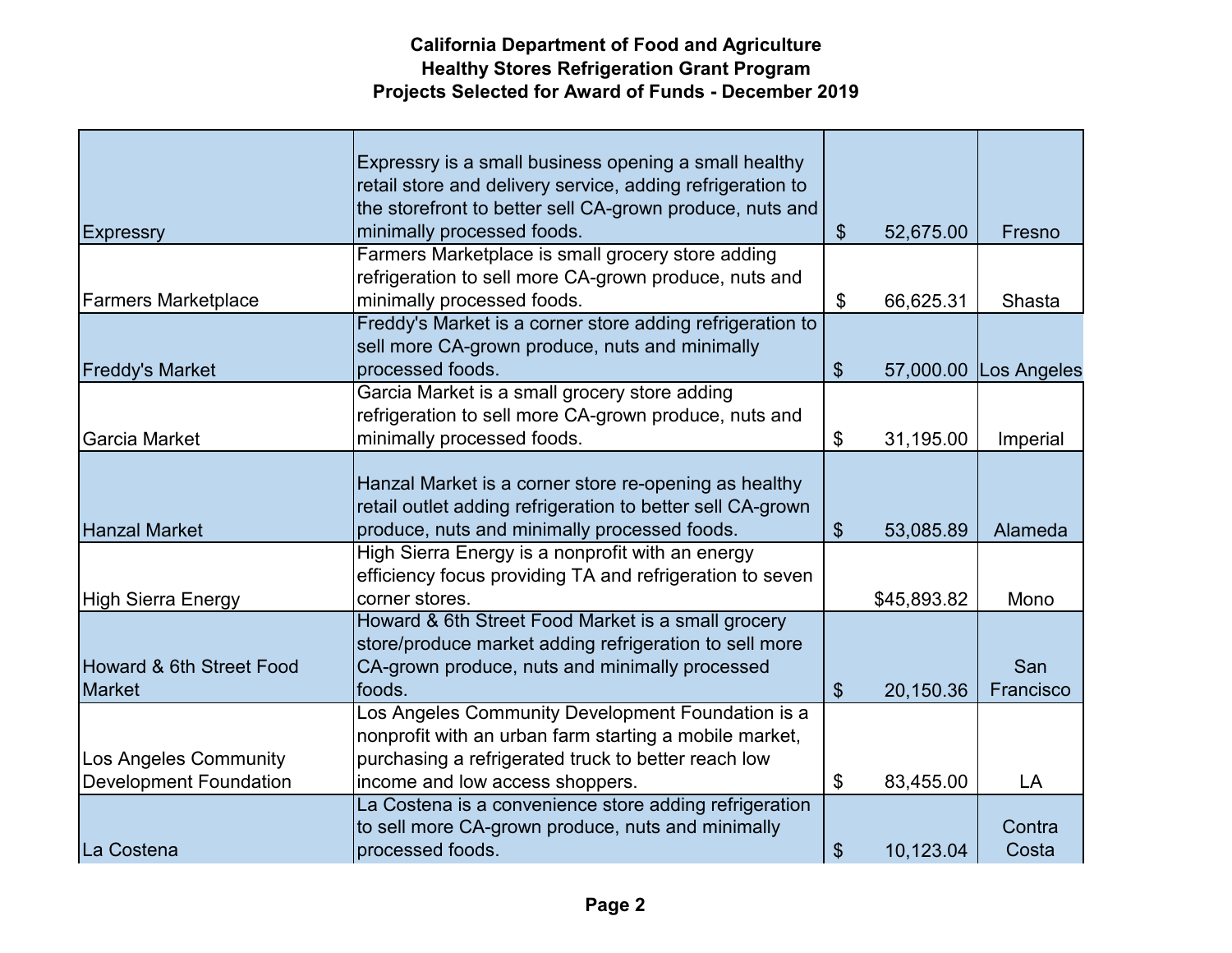# **California Department of Food and Agriculture Healthy Stores Refrigeration Grant Program Projects Selected for Award of Funds - December 2019**

|                               | Expressry is a small business opening a small healthy      |                              |             |             |
|-------------------------------|------------------------------------------------------------|------------------------------|-------------|-------------|
|                               | retail store and delivery service, adding refrigeration to |                              |             |             |
|                               | the storefront to better sell CA-grown produce, nuts and   |                              |             |             |
| <b>Expressry</b>              | minimally processed foods.                                 | $\boldsymbol{\hat{\varphi}}$ | 52,675.00   | Fresno      |
|                               | Farmers Marketplace is small grocery store adding          |                              |             |             |
|                               | refrigeration to sell more CA-grown produce, nuts and      |                              |             |             |
| <b>Farmers Marketplace</b>    | minimally processed foods.                                 | \$                           | 66,625.31   | Shasta      |
|                               | Freddy's Market is a corner store adding refrigeration to  |                              |             |             |
|                               | sell more CA-grown produce, nuts and minimally             |                              |             |             |
| <b>Freddy's Market</b>        | processed foods.                                           | \$                           | 57,000.00   | Los Angeles |
|                               | Garcia Market is a small grocery store adding              |                              |             |             |
|                               | refrigeration to sell more CA-grown produce, nuts and      |                              |             |             |
| Garcia Market                 | minimally processed foods.                                 | \$                           | 31,195.00   | Imperial    |
|                               |                                                            |                              |             |             |
|                               | Hanzal Market is a corner store re-opening as healthy      |                              |             |             |
|                               | retail outlet adding refrigeration to better sell CA-grown |                              |             |             |
| <b>Hanzal Market</b>          | produce, nuts and minimally processed foods.               | $\boldsymbol{\theta}$        | 53,085.89   | Alameda     |
|                               | High Sierra Energy is a nonprofit with an energy           |                              |             |             |
|                               | efficiency focus providing TA and refrigeration to seven   |                              |             |             |
| High Sierra Energy            | corner stores.                                             |                              | \$45,893.82 | Mono        |
|                               | Howard & 6th Street Food Market is a small grocery         |                              |             |             |
|                               | store/produce market adding refrigeration to sell more     |                              |             |             |
| Howard & 6th Street Food      | CA-grown produce, nuts and minimally processed             |                              |             | San         |
| <b>Market</b>                 | foods.                                                     | $\boldsymbol{\mathsf{S}}$    | 20,150.36   | Francisco   |
|                               | Los Angeles Community Development Foundation is a          |                              |             |             |
|                               | nonprofit with an urban farm starting a mobile market,     |                              |             |             |
| Los Angeles Community         | purchasing a refrigerated truck to better reach low        |                              |             |             |
| <b>Development Foundation</b> | income and low access shoppers.                            | $\boldsymbol{\mathsf{S}}$    | 83,455.00   | LA          |
|                               | La Costena is a convenience store adding refrigeration     |                              |             |             |
|                               | to sell more CA-grown produce, nuts and minimally          |                              |             | Contra      |
| La Costena                    | processed foods.                                           | \$                           | 10,123.04   | Costa       |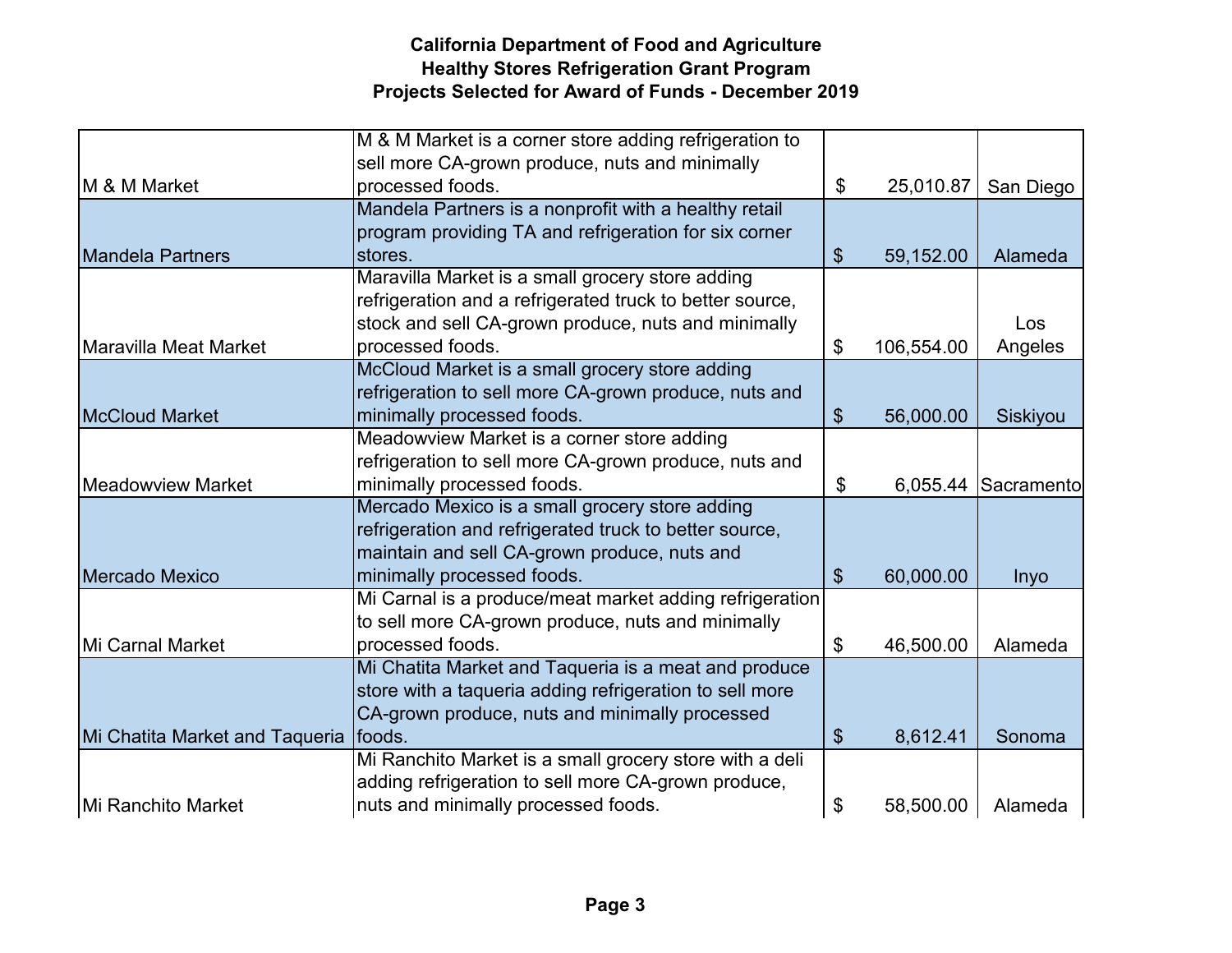# **California Department of Food and Agriculture Healthy Stores Refrigeration Grant Program Projects Selected for Award of Funds - December 2019**

|                                | M & M Market is a corner store adding refrigeration to   |                       |            |            |
|--------------------------------|----------------------------------------------------------|-----------------------|------------|------------|
|                                | sell more CA-grown produce, nuts and minimally           |                       |            |            |
| <b>IM &amp; M Market</b>       | processed foods.                                         | \$                    | 25,010.87  | San Diego  |
|                                | Mandela Partners is a nonprofit with a healthy retail    |                       |            |            |
|                                | program providing TA and refrigeration for six corner    |                       |            |            |
| <b>Mandela Partners</b>        | stores.                                                  | \$                    | 59,152.00  | Alameda    |
|                                | Maravilla Market is a small grocery store adding         |                       |            |            |
|                                | refrigeration and a refrigerated truck to better source, |                       |            |            |
|                                | stock and sell CA-grown produce, nuts and minimally      |                       |            | Los        |
| Maravilla Meat Market          | processed foods.                                         | \$                    | 106,554.00 | Angeles    |
|                                | McCloud Market is a small grocery store adding           |                       |            |            |
|                                | refrigeration to sell more CA-grown produce, nuts and    |                       |            |            |
| <b>McCloud Market</b>          | minimally processed foods.                               | \$                    | 56,000.00  | Siskiyou   |
|                                | Meadowview Market is a corner store adding               |                       |            |            |
|                                | refrigeration to sell more CA-grown produce, nuts and    |                       |            |            |
| <b>Meadowview Market</b>       | minimally processed foods.                               | \$                    | 6,055.44   | Sacramento |
|                                | Mercado Mexico is a small grocery store adding           |                       |            |            |
|                                | refrigeration and refrigerated truck to better source,   |                       |            |            |
|                                | maintain and sell CA-grown produce, nuts and             |                       |            |            |
| Mercado Mexico                 | minimally processed foods.                               | \$                    | 60,000.00  | Inyo       |
|                                | Mi Carnal is a produce/meat market adding refrigeration  |                       |            |            |
|                                | to sell more CA-grown produce, nuts and minimally        |                       |            |            |
| Mi Carnal Market               | processed foods.                                         | \$                    | 46,500.00  | Alameda    |
|                                | Mi Chatita Market and Taqueria is a meat and produce     |                       |            |            |
|                                | store with a taqueria adding refrigeration to sell more  |                       |            |            |
|                                | CA-grown produce, nuts and minimally processed           |                       |            |            |
| Mi Chatita Market and Taqueria | foods.                                                   | $\boldsymbol{\theta}$ | 8,612.41   | Sonoma     |
|                                |                                                          |                       |            |            |
|                                | Mi Ranchito Market is a small grocery store with a deli  |                       |            |            |
|                                | adding refrigeration to sell more CA-grown produce,      |                       |            |            |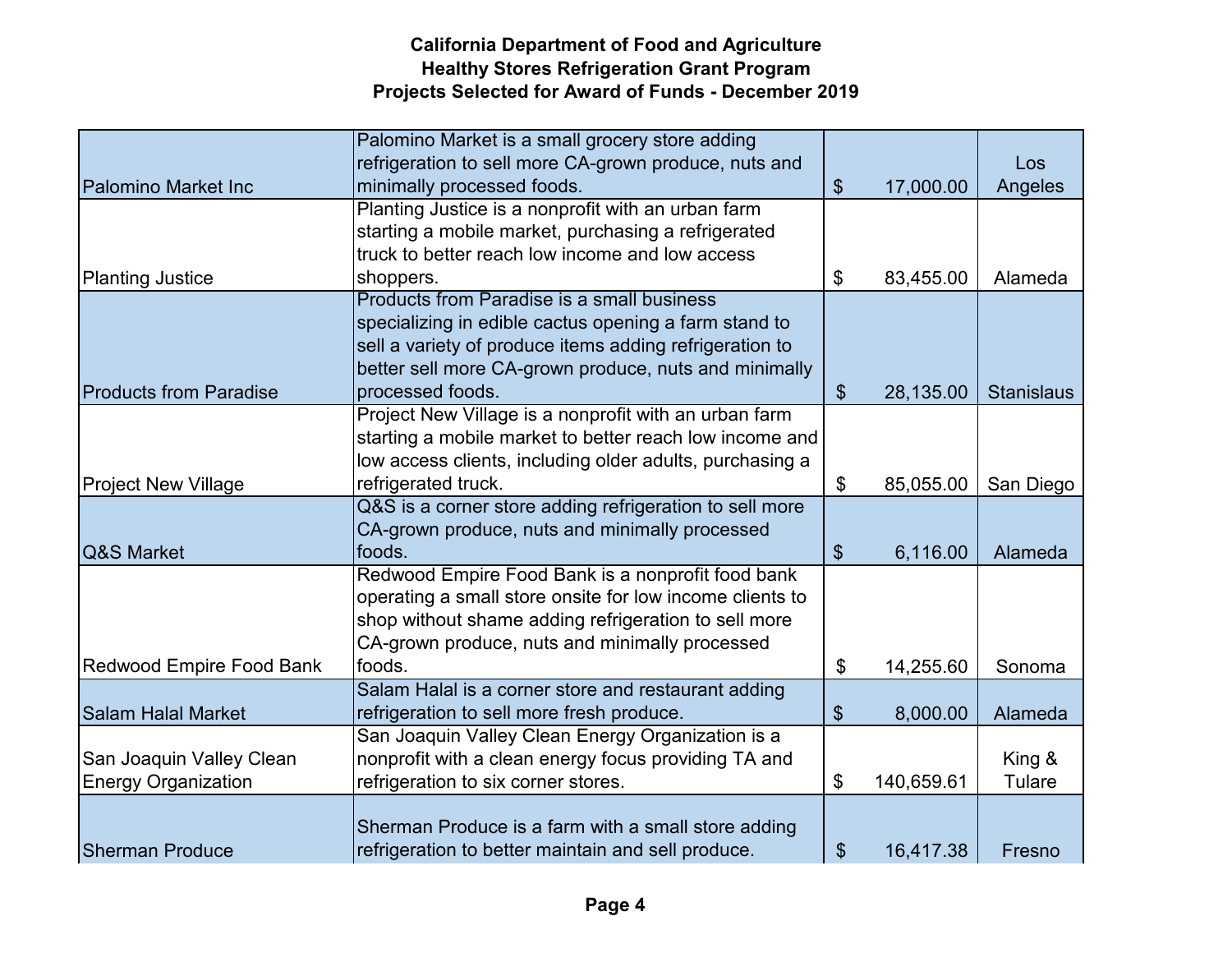# **California Department of Food and Agriculture Healthy Stores Refrigeration Grant Program Projects Selected for Award of Funds - December 2019**

|                                 | Palomino Market is a small grocery store adding          |                           |            |                   |
|---------------------------------|----------------------------------------------------------|---------------------------|------------|-------------------|
|                                 | refrigeration to sell more CA-grown produce, nuts and    |                           |            | Los               |
| <b>Palomino Market Inc</b>      | minimally processed foods.                               | $\boldsymbol{\theta}$     | 17,000.00  | Angeles           |
|                                 | Planting Justice is a nonprofit with an urban farm       |                           |            |                   |
|                                 | starting a mobile market, purchasing a refrigerated      |                           |            |                   |
|                                 | truck to better reach low income and low access          |                           |            |                   |
| <b>Planting Justice</b>         | shoppers.                                                | \$                        | 83,455.00  | Alameda           |
|                                 | <b>Products from Paradise is a small business</b>        |                           |            |                   |
|                                 | specializing in edible cactus opening a farm stand to    |                           |            |                   |
|                                 | sell a variety of produce items adding refrigeration to  |                           |            |                   |
|                                 | better sell more CA-grown produce, nuts and minimally    |                           |            |                   |
| <b>Products from Paradise</b>   | processed foods.                                         | $\boldsymbol{\mathsf{S}}$ | 28,135.00  | <b>Stanislaus</b> |
|                                 | Project New Village is a nonprofit with an urban farm    |                           |            |                   |
|                                 | starting a mobile market to better reach low income and  |                           |            |                   |
|                                 | low access clients, including older adults, purchasing a |                           |            |                   |
| <b>Project New Village</b>      | refrigerated truck.                                      | \$                        | 85,055.00  | San Diego         |
|                                 | Q&S is a corner store adding refrigeration to sell more  |                           |            |                   |
|                                 | CA-grown produce, nuts and minimally processed           |                           |            |                   |
| <b>Q&amp;S Market</b>           | foods.                                                   | $\boldsymbol{\theta}$     | 6,116.00   | Alameda           |
|                                 | Redwood Empire Food Bank is a nonprofit food bank        |                           |            |                   |
|                                 | operating a small store onsite for low income clients to |                           |            |                   |
|                                 | shop without shame adding refrigeration to sell more     |                           |            |                   |
|                                 | CA-grown produce, nuts and minimally processed           |                           |            |                   |
| <b>Redwood Empire Food Bank</b> | foods.                                                   | \$                        | 14,255.60  | Sonoma            |
|                                 | Salam Halal is a corner store and restaurant adding      |                           |            |                   |
| <b>Salam Halal Market</b>       | refrigeration to sell more fresh produce.                | \$                        | 8,000.00   | Alameda           |
|                                 | San Joaquin Valley Clean Energy Organization is a        |                           |            |                   |
| San Joaquin Valley Clean        | nonprofit with a clean energy focus providing TA and     |                           |            | King &            |
| <b>Energy Organization</b>      | refrigeration to six corner stores.                      | \$                        | 140,659.61 | Tulare            |
|                                 |                                                          |                           |            |                   |
|                                 | Sherman Produce is a farm with a small store adding      |                           |            |                   |
| <b>Sherman Produce</b>          | refrigeration to better maintain and sell produce.       | \$                        | 16,417.38  | Fresno            |